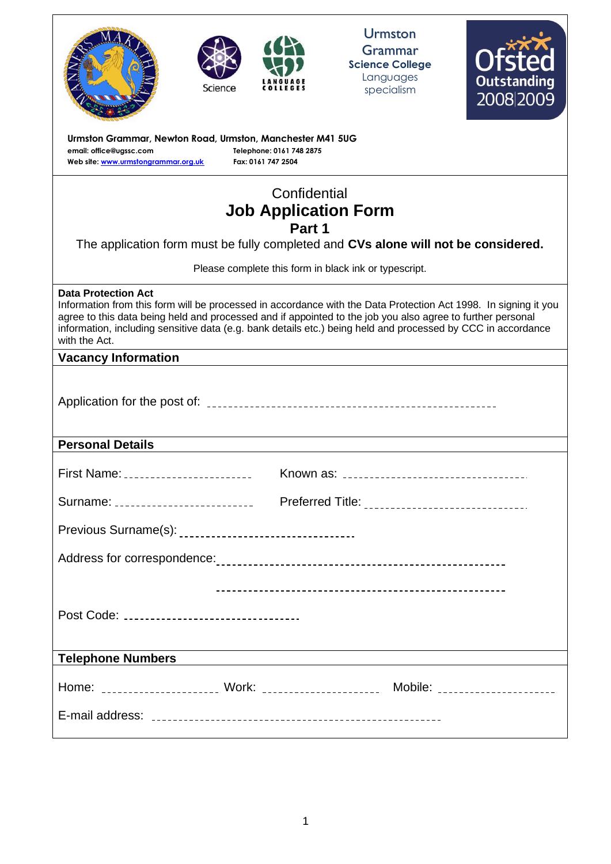| Science                                                                                                                                                                                                                                                                                                                                                                                      |                                                | <b>Urmston</b><br>Grammar<br><b>Science College</b><br>Languages<br>specialism                                       | <b>Outstanding</b><br>2008 2009 |
|----------------------------------------------------------------------------------------------------------------------------------------------------------------------------------------------------------------------------------------------------------------------------------------------------------------------------------------------------------------------------------------------|------------------------------------------------|----------------------------------------------------------------------------------------------------------------------|---------------------------------|
| Urmston Grammar, Newton Road, Urmston, Manchester M41 5UG<br>email: office@ugssc.com<br>Web site: www.urmstongrammar.org.uk                                                                                                                                                                                                                                                                  | Telephone: 0161 748 2875<br>Fax: 0161 747 2504 |                                                                                                                      |                                 |
|                                                                                                                                                                                                                                                                                                                                                                                              | Confidential                                   |                                                                                                                      |                                 |
|                                                                                                                                                                                                                                                                                                                                                                                              | <b>Job Application Form</b><br>Part 1          |                                                                                                                      |                                 |
| The application form must be fully completed and CVs alone will not be considered.                                                                                                                                                                                                                                                                                                           |                                                |                                                                                                                      |                                 |
|                                                                                                                                                                                                                                                                                                                                                                                              |                                                | Please complete this form in black ink or typescript.                                                                |                                 |
| <b>Data Protection Act</b><br>Information from this form will be processed in accordance with the Data Protection Act 1998. In signing it you<br>agree to this data being held and processed and if appointed to the job you also agree to further personal<br>information, including sensitive data (e.g. bank details etc.) being held and processed by CCC in accordance<br>with the Act. |                                                |                                                                                                                      |                                 |
| <b>Vacancy Information</b>                                                                                                                                                                                                                                                                                                                                                                   |                                                |                                                                                                                      |                                 |
|                                                                                                                                                                                                                                                                                                                                                                                              |                                                |                                                                                                                      |                                 |
| <b>Personal Details</b>                                                                                                                                                                                                                                                                                                                                                                      |                                                |                                                                                                                      |                                 |
| First Name: _________________________                                                                                                                                                                                                                                                                                                                                                        |                                                |                                                                                                                      |                                 |
|                                                                                                                                                                                                                                                                                                                                                                                              |                                                |                                                                                                                      |                                 |
|                                                                                                                                                                                                                                                                                                                                                                                              |                                                |                                                                                                                      |                                 |
|                                                                                                                                                                                                                                                                                                                                                                                              |                                                |                                                                                                                      |                                 |
|                                                                                                                                                                                                                                                                                                                                                                                              |                                                |                                                                                                                      |                                 |
| Post Code: _________________________________                                                                                                                                                                                                                                                                                                                                                 |                                                |                                                                                                                      |                                 |
| <b>Telephone Numbers</b>                                                                                                                                                                                                                                                                                                                                                                     |                                                | <u> 1980 - Johann Stein, marwolaethau a bhann an t-Amhain Aonaich an t-Amhain Aonaich an t-Amhain Aonaich an t-A</u> |                                 |
| Home: _____________________ Work: ______________________ Mobile: _____________________                                                                                                                                                                                                                                                                                                       |                                                |                                                                                                                      |                                 |
|                                                                                                                                                                                                                                                                                                                                                                                              |                                                |                                                                                                                      |                                 |
|                                                                                                                                                                                                                                                                                                                                                                                              |                                                |                                                                                                                      |                                 |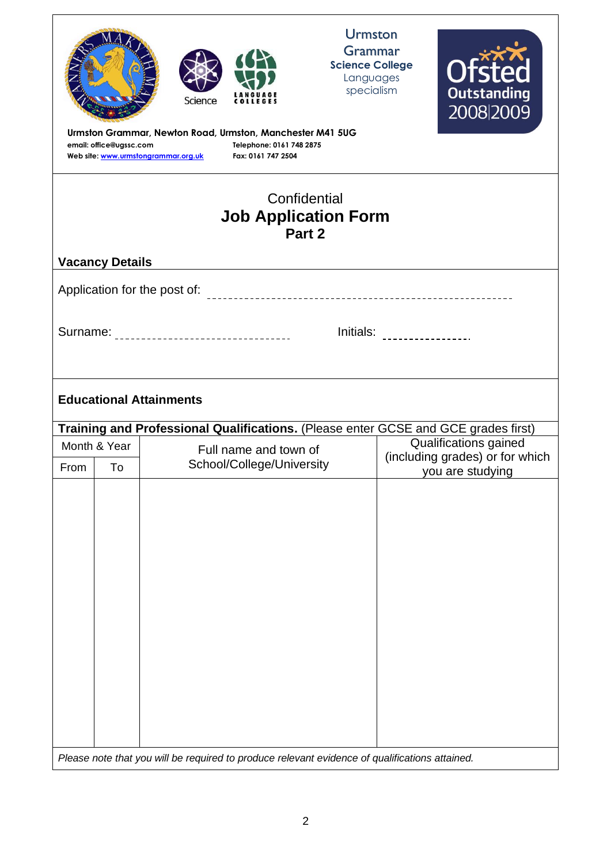| email: office@ugssc.com                                                                                     |    | Science<br><b>COLLEGES</b><br>Urmston Grammar, Newton Road, Urmston, Manchester M41 5UG<br>Telephone: 0161 748 2875<br>Web site: www.urmstongrammar.org.uk<br>Fax: 0161 747 2504 | <b>Urmston</b><br>Grammar<br><b>Science College</b><br>Languages<br>specialism |  | <b>Ofsted</b><br><b>Outstanding</b><br>2008 2009    |
|-------------------------------------------------------------------------------------------------------------|----|----------------------------------------------------------------------------------------------------------------------------------------------------------------------------------|--------------------------------------------------------------------------------|--|-----------------------------------------------------|
| Confidential<br><b>Job Application Form</b><br>Part 2                                                       |    |                                                                                                                                                                                  |                                                                                |  |                                                     |
| <b>Vacancy Details</b>                                                                                      |    |                                                                                                                                                                                  |                                                                                |  |                                                     |
|                                                                                                             |    | Application for the post of:                                                                                                                                                     |                                                                                |  |                                                     |
| Initials: _________________<br>Surname: _________________________________<br><b>Educational Attainments</b> |    |                                                                                                                                                                                  |                                                                                |  |                                                     |
|                                                                                                             |    | Training and Professional Qualifications. (Please enter GCSE and GCE grades first)                                                                                               |                                                                                |  |                                                     |
| Month & Year                                                                                                |    | Qualifications gained<br>Full name and town of                                                                                                                                   |                                                                                |  |                                                     |
| From                                                                                                        | To | School/College/University                                                                                                                                                        |                                                                                |  | (including grades) or for which<br>you are studying |
|                                                                                                             |    | Please note that you will be required to produce relevant evidence of qualifications attained.                                                                                   |                                                                                |  |                                                     |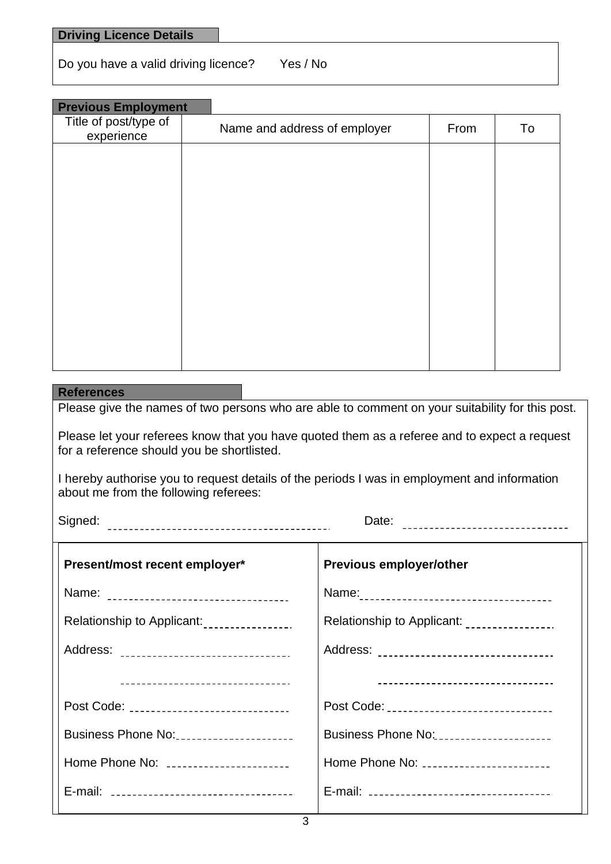| <b>Driving Licence Details</b> |
|--------------------------------|
|--------------------------------|

Do you have a valid driving licence? Yes / No

| <b>Previous Employment</b>          |                              |      |    |
|-------------------------------------|------------------------------|------|----|
| Title of post/type of<br>experience | Name and address of employer | From | To |
|                                     |                              |      |    |
|                                     |                              |      |    |
|                                     |                              |      |    |
|                                     |                              |      |    |
|                                     |                              |      |    |
|                                     |                              |      |    |
|                                     |                              |      |    |
|                                     |                              |      |    |
|                                     |                              |      |    |

#### **References**

Please give the names of two persons who are able to comment on your suitability for this post.

Please let your referees know that you have quoted them as a referee and to expect a request for a reference should you be shortlisted.

I hereby authorise you to request details of the periods I was in employment and information about me from the following referees:

Signed: Date:

| Present/most recent employer*                           | <b>Previous employer/other</b>               |
|---------------------------------------------------------|----------------------------------------------|
|                                                         |                                              |
| Relationship to Applicant:<br><br><u> Internal mate</u> | Relationship to Applicant: ________________. |
| Address: _________________________________              | Address: _________________________________   |
| ___________________________________                     | ______________________________________       |
| Post Code: ______________________________               | Post Code: _______________________________   |
|                                                         | Business Phone No:                           |
| Home Phone No: ______________________                   | Home Phone No:                               |
|                                                         |                                              |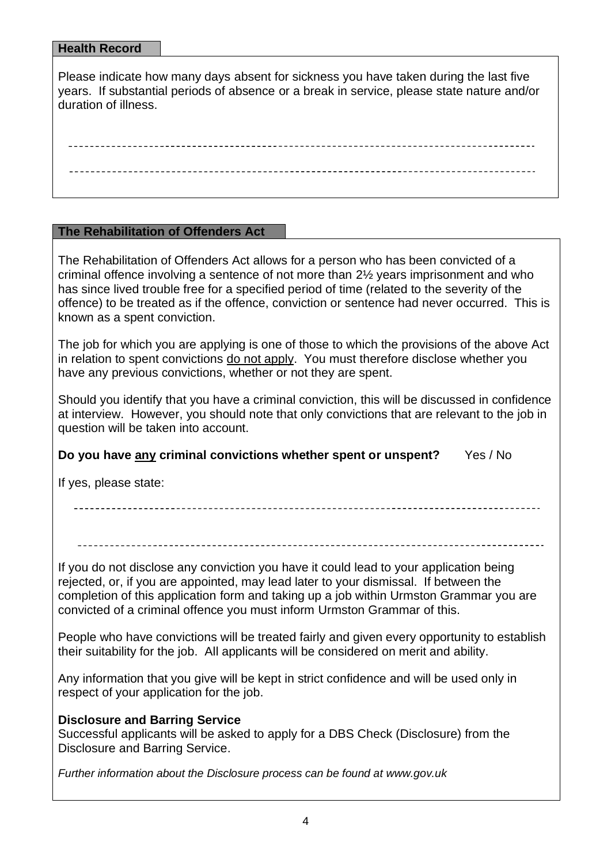### **Health Record**

Please indicate how many days absent for sickness you have taken during the last five years. If substantial periods of absence or a break in service, please state nature and/or duration of illness.

### **The Rehabilitation of Offenders Act**

The Rehabilitation of Offenders Act allows for a person who has been convicted of a criminal offence involving a sentence of not more than 2½ years imprisonment and who has since lived trouble free for a specified period of time (related to the severity of the offence) to be treated as if the offence, conviction or sentence had never occurred. This is known as a spent conviction.

The job for which you are applying is one of those to which the provisions of the above Act in relation to spent convictions do not apply. You must therefore disclose whether you have any previous convictions, whether or not they are spent.

Should you identify that you have a criminal conviction, this will be discussed in confidence at interview. However, you should note that only convictions that are relevant to the job in question will be taken into account.

# **Do you have any criminal convictions whether spent or unspent?** Yes / No

If yes, please state:

If you do not disclose any conviction you have it could lead to your application being rejected, or, if you are appointed, may lead later to your dismissal. If between the completion of this application form and taking up a job within Urmston Grammar you are convicted of a criminal offence you must inform Urmston Grammar of this.

People who have convictions will be treated fairly and given every opportunity to establish their suitability for the job. All applicants will be considered on merit and ability.

Any information that you give will be kept in strict confidence and will be used only in respect of your application for the job.

### **Disclosure and Barring Service**

Successful applicants will be asked to apply for a DBS Check (Disclosure) from the Disclosure and Barring Service.

*Further information about the Disclosure process can be found at www.gov.uk*